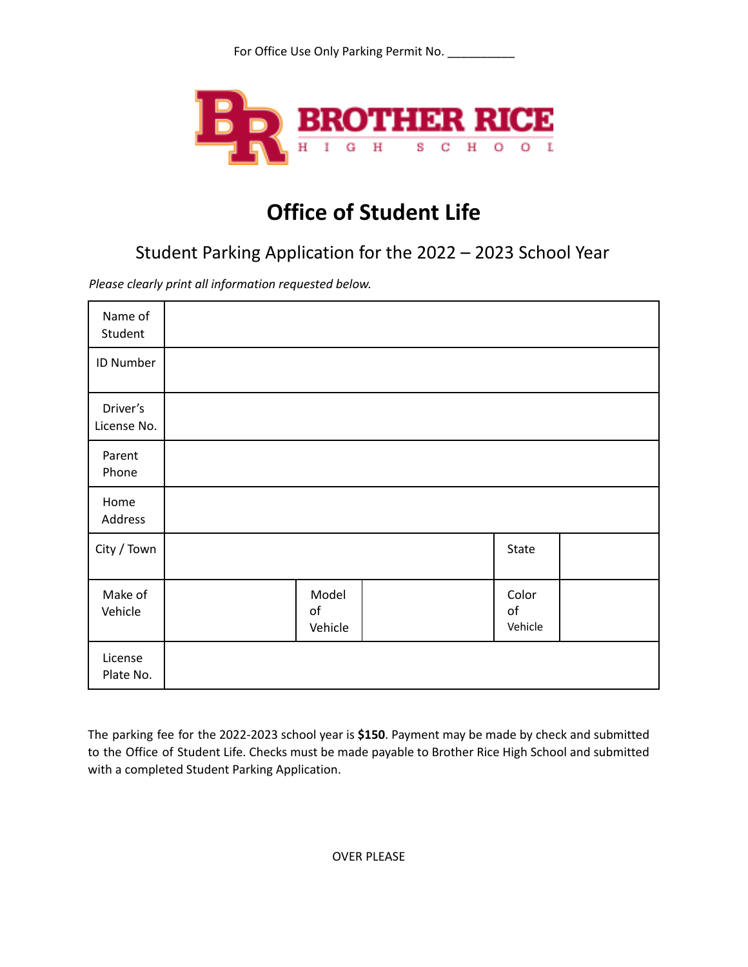

## **Office of Student Life**

Student Parking Application for the 2022 – 2023 School Year

*Please clearly print all information requested below.*

| Name of<br>Student      |                        |                        |  |
|-------------------------|------------------------|------------------------|--|
| ID Number               |                        |                        |  |
| Driver's<br>License No. |                        |                        |  |
| Parent<br>Phone         |                        |                        |  |
| Home<br>Address         |                        |                        |  |
| City / Town             |                        | State                  |  |
| Make of<br>Vehicle      | Model<br>of<br>Vehicle | Color<br>of<br>Vehicle |  |
| License<br>Plate No.    |                        |                        |  |

The parking fee for the 2022-2023 school year is **\$150**. Payment may be made by check and submitted to the Office of Student Life. Checks must be made payable to Brother Rice High School and submitted with a completed Student Parking Application.